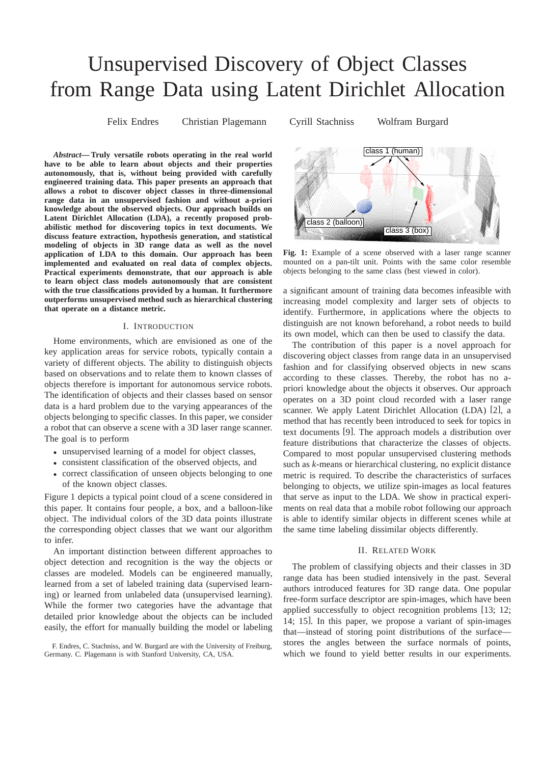# Unsupervised Discovery of Object Classes from Range Data using Latent Dirichlet Allocation

Felix Endres Christian Plagemann Cyrill Stachniss Wolfram Burgard

*Abstract***— Truly versatile robots operating in the real world have to be able to learn about objects and their properties autonomously, that is, without being provided with carefully engineered training data. This paper presents an approach that allows a robot to discover object classes in three-dimensional range data in an unsupervised fashion and without a-priori knowledge about the observed objects. Our approach builds on Latent Dirichlet Allocation (LDA), a recently proposed probabilistic method for discovering topics in text documents. We discuss feature extraction, hypothesis generation, and statistical modeling of objects in 3D range data as well as the novel application of LDA to this domain. Our approach has been implemented and evaluated on real data of complex objects. Practical experiments demonstrate, that our approach is able to learn object class models autonomously that are consistent with the true classifications provided by a human. It furthermore outperforms unsupervised method such as hierarchical clustering that operate on a distance metric.**

#### I. INTRODUCTION

Home environments, which are envisioned as one of the key application areas for service robots, typically contain a variety of different objects. The ability to distinguish objects based on observations and to relate them to known classes of objects therefore is important for autonomous service robots. The identification of objects and their classes based on sensor data is a hard problem due to the varying appearances of the objects belonging to specific classes. In this paper, we consider a robot that can observe a scene with a 3D laser range scanner. The goal is to perform

- unsupervised learning of a model for object classes,
- consistent classification of the observed objects, and
- correct classification of unseen objects belonging to one of the known object classes.

Figure 1 depicts a typical point cloud of a scene considered in this paper. It contains four people, a box, and a balloon-like object. The individual colors of the 3D data points illustrate the corresponding object classes that we want our algorithm to infer.

An important distinction between different approaches to object detection and recognition is the way the objects or classes are modeled. Models can be engineered manually, learned from a set of labeled training data (supervised learning) or learned from unlabeled data (unsupervised learning). While the former two categories have the advantage that detailed prior knowledge about the objects can be included easily, the effort for manually building the model or labeling



**Fig. 1:** Example of a scene observed with a laser range scanner mounted on a pan-tilt unit. Points with the same color resemble objects belonging to the same class (best viewed in color).

a significant amount of training data becomes infeasible with increasing model complexity and larger sets of objects to identify. Furthermore, in applications where the objects to distinguish are not known beforehand, a robot needs to build its own model, which can then be used to classify the data.

The contribution of this paper is a novel approach for discovering object classes from range data in an unsupervised fashion and for classifying observed objects in new scans according to these classes. Thereby, the robot has no apriori knowledge about the objects it observes. Our approach operates on a 3D point cloud recorded with a laser range scanner. We apply Latent Dirichlet Allocation (LDA) [2], a method that has recently been introduced to seek for topics in text documents [9]. The approach models a distribution over feature distributions that characterize the classes of objects. Compared to most popular unsupervised clustering methods such as *k*-means or hierarchical clustering, no explicit distance metric is required. To describe the characteristics of surfaces belonging to objects, we utilize spin-images as local features that serve as input to the LDA. We show in practical experiments on real data that a mobile robot following our approach is able to identify similar objects in different scenes while at the same time labeling dissimilar objects differently.

#### II. RELATED WORK

The problem of classifying objects and their classes in 3D range data has been studied intensively in the past. Several authors introduced features for 3D range data. One popular free-form surface descriptor are spin-images, which have been applied successfully to object recognition problems [13; 12; 14; 15]. In this paper, we propose a variant of spin-images that—instead of storing point distributions of the surface stores the angles between the surface normals of points, which we found to yield better results in our experiments.

F. Endres, C. Stachniss, and W. Burgard are with the University of Freiburg, Germany. C. Plagemann is with Stanford University, CA, USA.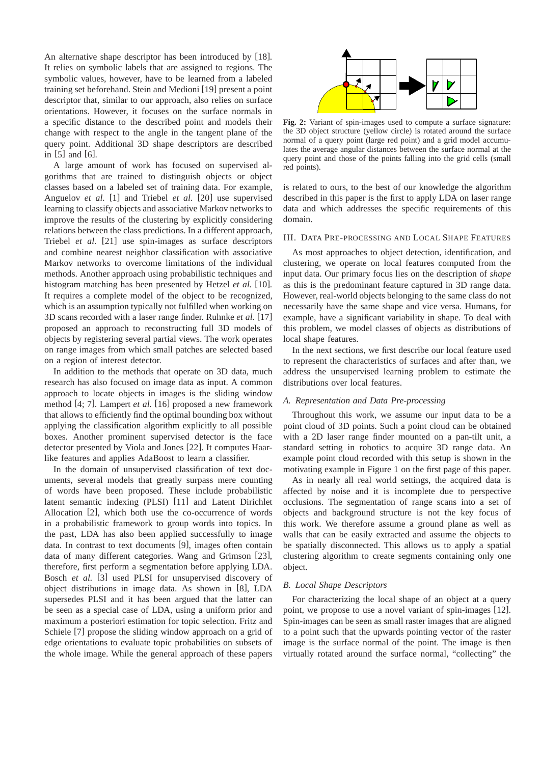An alternative shape descriptor has been introduced by [18]. It relies on symbolic labels that are assigned to regions. The symbolic values, however, have to be learned from a labeled training set beforehand. Stein and Medioni [19] present a point descriptor that, similar to our approach, also relies on surface orientations. However, it focuses on the surface normals in a specific distance to the described point and models their change with respect to the angle in the tangent plane of the query point. Additional 3D shape descriptors are described in [5] and [6].

A large amount of work has focused on supervised algorithms that are trained to distinguish objects or object classes based on a labeled set of training data. For example, Anguelov *et al.* [1] and Triebel *et al.* [20] use supervised learning to classify objects and associative Markov networks to improve the results of the clustering by explicitly considering relations between the class predictions. In a different approach, Triebel *et al.* [21] use spin-images as surface descriptors and combine nearest neighbor classification with associative Markov networks to overcome limitations of the individual methods. Another approach using probabilistic techniques and histogram matching has been presented by Hetzel *et al.* [10]. It requires a complete model of the object to be recognized, which is an assumption typically not fulfilled when working on 3D scans recorded with a laser range finder. Ruhnke *et al.* [17] proposed an approach to reconstructing full 3D models of objects by registering several partial views. The work operates on range images from which small patches are selected based on a region of interest detector.

In addition to the methods that operate on 3D data, much research has also focused on image data as input. A common approach to locate objects in images is the sliding window method [4; 7]. Lampert *et al.* [16] proposed a new framework that allows to efficiently find the optimal bounding box without applying the classification algorithm explicitly to all possible boxes. Another prominent supervised detector is the face detector presented by Viola and Jones [22]. It computes Haarlike features and applies AdaBoost to learn a classifier.

In the domain of unsupervised classification of text documents, several models that greatly surpass mere counting of words have been proposed. These include probabilistic latent semantic indexing (PLSI) [11] and Latent Dirichlet Allocation [2], which both use the co-occurrence of words in a probabilistic framework to group words into topics. In the past, LDA has also been applied successfully to image data. In contrast to text documents [9], images often contain data of many different categories. Wang and Grimson [23], therefore, first perform a segmentation before applying LDA. Bosch *et al.* [3] used PLSI for unsupervised discovery of object distributions in image data. As shown in [8], LDA supersedes PLSI and it has been argued that the latter can be seen as a special case of LDA, using a uniform prior and maximum a posteriori estimation for topic selection. Fritz and Schiele [7] propose the sliding window approach on a grid of edge orientations to evaluate topic probabilities on subsets of the whole image. While the general approach of these papers



**Fig. 2:** Variant of spin-images used to compute a surface signature: the 3D object structure (yellow circle) is rotated around the surface normal of a query point (large red point) and a grid model accumulates the average angular distances between the surface normal at the query point and those of the points falling into the grid cells (small red points).

is related to ours, to the best of our knowledge the algorithm described in this paper is the first to apply LDA on laser range data and which addresses the specific requirements of this domain.

## III. DATA PRE-PROCESSING AND LOCAL SHAPE FEATURES

As most approaches to object detection, identification, and clustering, we operate on local features computed from the input data. Our primary focus lies on the description of *shape* as this is the predominant feature captured in 3D range data. However, real-world objects belonging to the same class do not necessarily have the same shape and vice versa. Humans, for example, have a significant variability in shape. To deal with this problem, we model classes of objects as distributions of local shape features.

In the next sections, we first describe our local feature used to represent the characteristics of surfaces and after than, we address the unsupervised learning problem to estimate the distributions over local features.

#### *A. Representation and Data Pre-processing*

Throughout this work, we assume our input data to be a point cloud of 3D points. Such a point cloud can be obtained with a 2D laser range finder mounted on a pan-tilt unit, a standard setting in robotics to acquire 3D range data. An example point cloud recorded with this setup is shown in the motivating example in Figure 1 on the first page of this paper.

As in nearly all real world settings, the acquired data is affected by noise and it is incomplete due to perspective occlusions. The segmentation of range scans into a set of objects and background structure is not the key focus of this work. We therefore assume a ground plane as well as walls that can be easily extracted and assume the objects to be spatially disconnected. This allows us to apply a spatial clustering algorithm to create segments containing only one object.

## *B. Local Shape Descriptors*

For characterizing the local shape of an object at a query point, we propose to use a novel variant of spin-images [12]. Spin-images can be seen as small raster images that are aligned to a point such that the upwards pointing vector of the raster image is the surface normal of the point. The image is then virtually rotated around the surface normal, "collecting" the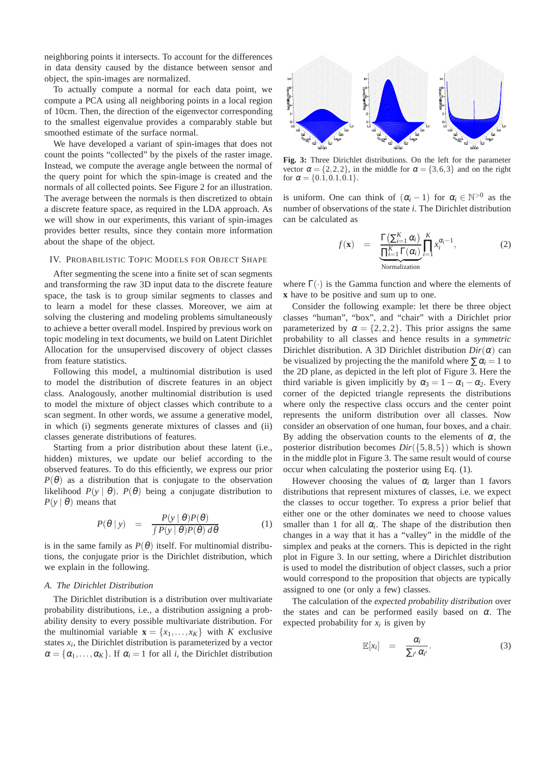neighboring points it intersects. To account for the differences in data density caused by the distance between sensor and object, the spin-images are normalized.

To actually compute a normal for each data point, we compute a PCA using all neighboring points in a local region of 10cm. Then, the direction of the eigenvector corresponding to the smallest eigenvalue provides a comparably stable but smoothed estimate of the surface normal.

We have developed a variant of spin-images that does not count the points "collected" by the pixels of the raster image. Instead, we compute the average angle between the normal of the query point for which the spin-image is created and the normals of all collected points. See Figure 2 for an illustration. The average between the normals is then discretized to obtain a discrete feature space, as required in the LDA approach. As we will show in our experiments, this variant of spin-images provides better results, since they contain more information about the shape of the object.

#### IV. PROBABILISTIC TOPIC MODELS FOR OBJECT SHAPE

After segmenting the scene into a finite set of scan segments and transforming the raw 3D input data to the discrete feature space, the task is to group similar segments to classes and to learn a model for these classes. Moreover, we aim at solving the clustering and modeling problems simultaneously to achieve a better overall model. Inspired by previous work on topic modeling in text documents, we build on Latent Dirichlet Allocation for the unsupervised discovery of object classes from feature statistics.

Following this model, a multinomial distribution is used to model the distribution of discrete features in an object class. Analogously, another multinomial distribution is used to model the mixture of object classes which contribute to a scan segment. In other words, we assume a generative model, in which (i) segments generate mixtures of classes and (ii) classes generate distributions of features.

Starting from a prior distribution about these latent (i.e., hidden) mixtures, we update our belief according to the observed features. To do this efficiently, we express our prior  $P(\theta)$  as a distribution that is conjugate to the observation likelihood  $P(y | \theta)$ .  $P(\theta)$  being a conjugate distribution to  $P(y | \theta)$  means that

$$
P(\theta | y) = \frac{P(y | \theta)P(\theta)}{\int P(y | \theta)P(\theta) d\theta}
$$
 (1)

is in the same family as  $P(\theta)$  itself. For multinomial distributions, the conjugate prior is the Dirichlet distribution, which we explain in the following.

## *A. The Dirichlet Distribution*

The Dirichlet distribution is a distribution over multivariate probability distributions, i.e., a distribution assigning a probability density to every possible multivariate distribution. For the multinomial variable  $\mathbf{x} = \{x_1, \ldots, x_K\}$  with *K* exclusive states  $x_i$ , the Dirichlet distribution is parameterized by a vector  $\alpha = {\alpha_1, \ldots, \alpha_K}$ . If  $\alpha_i = 1$  for all *i*, the Dirichlet distribution



**Fig. 3:** Three Dirichlet distributions. On the left for the parameter vector  $\alpha = \{2, 2, 2\}$ , in the middle for  $\alpha = \{3, 6, 3\}$  and on the right for  $\alpha = \{0.1, 0.1, 0.1\}.$ 

is uniform. One can think of  $(\alpha_i - 1)$  for  $\alpha_i \in \mathbb{N}^{>0}$  as the number of observations of the state *i*. The Dirichlet distribution can be calculated as

$$
f(\mathbf{x}) = \frac{\Gamma\left(\sum_{i=1}^{K} \alpha_i\right)}{\prod_{i=1}^{K} \Gamma\left(\alpha_i\right)} \prod_{i=1}^{K} x_i^{\alpha_i - 1},
$$
\nNormalization

where  $\Gamma(\cdot)$  is the Gamma function and where the elements of **x** have to be positive and sum up to one.

Consider the following example: let there be three object classes "human", "box", and "chair" with a Dirichlet prior parameterized by  $\alpha = \{2,2,2\}$ . This prior assigns the same probability to all classes and hence results in a *symmetric* Dirichlet distribution. A 3D Dirichlet distribution  $Dir(\alpha)$  can be visualized by projecting the the manifold where  $\sum \alpha_i = 1$  to the 2D plane, as depicted in the left plot of Figure 3. Here the third variable is given implicitly by  $\alpha_3 = 1 - \alpha_1 - \alpha_2$ . Every corner of the depicted triangle represents the distributions where only the respective class occurs and the center point represents the uniform distribution over all classes. Now consider an observation of one human, four boxes, and a chair. By adding the observation counts to the elements of  $\alpha$ , the posterior distribution becomes *Dir*({5,8,5}) which is shown in the middle plot in Figure 3. The same result would of course occur when calculating the posterior using Eq. (1).

However choosing the values of  $\alpha_i$  larger than 1 favors distributions that represent mixtures of classes, i.e. we expect the classes to occur together. To express a prior belief that either one or the other dominates we need to choose values smaller than 1 for all  $\alpha$ <sup>*i*</sup>. The shape of the distribution then changes in a way that it has a "valley" in the middle of the simplex and peaks at the corners. This is depicted in the right plot in Figure 3. In our setting, where a Dirichlet distribution is used to model the distribution of object classes, such a prior would correspond to the proposition that objects are typically assigned to one (or only a few) classes.

The calculation of the *expected probability distribution* over the states and can be performed easily based on  $\alpha$ . The expected probability for  $x_i$  is given by

$$
\mathbb{E}[x_i] = \frac{\alpha_i}{\sum_{i'} \alpha_{i'}}.
$$
 (3)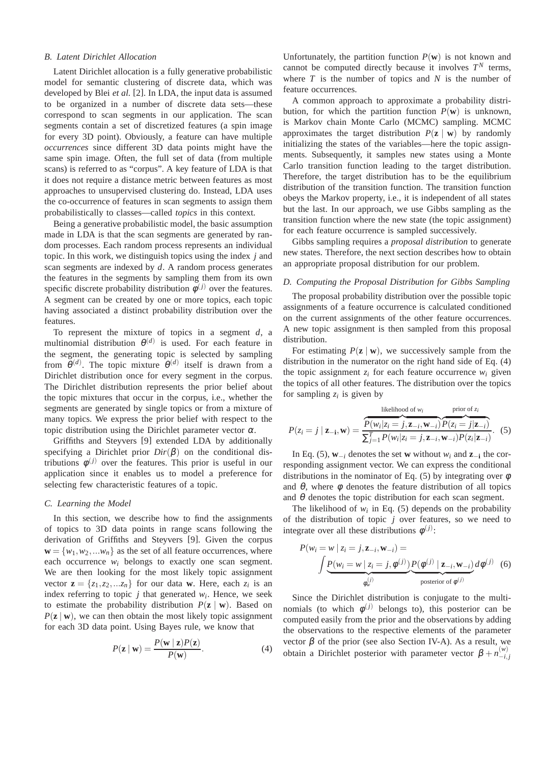## *B. Latent Dirichlet Allocation*

Latent Dirichlet allocation is a fully generative probabilistic model for semantic clustering of discrete data, which was developed by Blei *et al.* [2]. In LDA, the input data is assumed to be organized in a number of discrete data sets—these correspond to scan segments in our application. The scan segments contain a set of discretized features (a spin image for every 3D point). Obviously, a feature can have multiple *occurrences* since different 3D data points might have the same spin image. Often, the full set of data (from multiple scans) is referred to as "corpus". A key feature of LDA is that it does not require a distance metric between features as most approaches to unsupervised clustering do. Instead, LDA uses the co-occurrence of features in scan segments to assign them probabilistically to classes—called *topics* in this context.

Being a generative probabilistic model, the basic assumption made in LDA is that the scan segments are generated by random processes. Each random process represents an individual topic. In this work, we distinguish topics using the index *j* and scan segments are indexed by *d*. A random process generates the features in the segments by sampling them from its own specific discrete probability distribution  $\phi^{(j)}$  over the features. A segment can be created by one or more topics, each topic having associated a distinct probability distribution over the features.

To represent the mixture of topics in a segment *d*, a multinomial distribution  $\theta^{(d)}$  is used. For each feature in the segment, the generating topic is selected by sampling from  $\theta^{(d)}$ . The topic mixture  $\theta^{(d)}$  itself is drawn from a Dirichlet distribution once for every segment in the corpus. The Dirichlet distribution represents the prior belief about the topic mixtures that occur in the corpus, i.e., whether the segments are generated by single topics or from a mixture of many topics. We express the prior belief with respect to the topic distribution using the Dirichlet parameter vector <sup>α</sup>.

Griffiths and Steyvers [9] extended LDA by additionally specifying a Dirichlet prior  $Dir(\beta)$  on the conditional distributions  $\phi^{(j)}$  over the features. This prior is useful in our application since it enables us to model a preference for selecting few characteristic features of a topic.

## *C. Learning the Model*

In this section, we describe how to find the assignments of topics to 3D data points in range scans following the derivation of Griffiths and Steyvers [9]. Given the corpus  $\mathbf{w} = \{w_1, w_2, \dots w_n\}$  as the set of all feature occurrences, where each occurrence *w<sup>i</sup>* belongs to exactly one scan segment. We are then looking for the most likely topic assignment vector  $\mathbf{z} = \{z_1, z_2, \dots z_n\}$  for our data **w**. Here, each  $z_i$  is an index referring to topic  $j$  that generated  $w_i$ . Hence, we seek to estimate the probability distribution  $P(\mathbf{z} | \mathbf{w})$ . Based on  $P(\mathbf{z} \mid \mathbf{w})$ , we can then obtain the most likely topic assignment for each 3D data point. Using Bayes rule, we know that

$$
P(\mathbf{z} \mid \mathbf{w}) = \frac{P(\mathbf{w} \mid \mathbf{z})P(\mathbf{z})}{P(\mathbf{w})}.
$$
 (4)

Unfortunately, the partition function  $P(\mathbf{w})$  is not known and cannot be computed directly because it involves  $T^N$  terms, where *T* is the number of topics and *N* is the number of feature occurrences.

A common approach to approximate a probability distribution, for which the partition function  $P(\mathbf{w})$  is unknown, is Markov chain Monte Carlo (MCMC) sampling. MCMC approximates the target distribution  $P(z | w)$  by randomly initializing the states of the variables—here the topic assignments. Subsequently, it samples new states using a Monte Carlo transition function leading to the target distribution. Therefore, the target distribution has to be the equilibrium distribution of the transition function. The transition function obeys the Markov property, i.e., it is independent of all states but the last. In our approach, we use Gibbs sampling as the transition function where the new state (the topic assignment) for each feature occurrence is sampled successively.

Gibbs sampling requires a *proposal distribution* to generate new states. Therefore, the next section describes how to obtain an appropriate proposal distribution for our problem.

#### *D. Computing the Proposal Distribution for Gibbs Sampling*

The proposal probability distribution over the possible topic assignments of a feature occurrence is calculated conditioned on the current assignments of the other feature occurrences. A new topic assignment is then sampled from this proposal distribution.

For estimating  $P(\mathbf{z} | \mathbf{w})$ , we successively sample from the distribution in the numerator on the right hand side of Eq. (4) the topic assignment  $z_i$  for each feature occurrence  $w_i$  given the topics of all other features. The distribution over the topics for sampling  $z_i$  is given by

likelihood of 
$$
w_i
$$
  
\n
$$
P(z_i = j | \mathbf{z}_{-i}, \mathbf{w}) = \frac{\overbrace{P(w_i | z_i = j, \mathbf{z}_{-i}, \mathbf{w}_{-i})}^{\text{likelihood of } w_i} P(z_i = j | \mathbf{z}_{-i})}{\sum_{j=1}^{T} P(w_i | z_i = j, \mathbf{z}_{-i}, \mathbf{w}_{-i}) P(z_i | \mathbf{z}_{-i})}.
$$
\n(5)

In Eq. (5),  $\mathbf{w}_{-i}$  denotes the set **w** without  $w_i$  and  $\mathbf{z}_{-i}$  the corresponding assignment vector. We can express the conditional distributions in the nominator of Eq. (5) by integrating over  $\phi$ and  $\theta$ , where  $\phi$  denotes the feature distribution of all topics and  $\theta$  denotes the topic distribution for each scan segment.

The likelihood of  $w_i$  in Eq. (5) depends on the probability of the distribution of topic *j* over features, so we need to integrate over all these distributions  $\phi^{(j)}$ :

$$
P(w_i = w \mid z_i = j, \mathbf{z}_{-i}, \mathbf{w}_{-i}) =
$$
\n
$$
\int \underbrace{P(w_i = w \mid z_i = j, \phi^{(j)}) P(\phi^{(j)} \mid \mathbf{z}_{-i}, \mathbf{w}_{-i})}_{\phi^{(j)}_{w}} d\phi^{(j)} \quad (6)
$$

Since the Dirichlet distribution is conjugate to the multinomials (to which  $\phi^{(j)}$  belongs to), this posterior can be computed easily from the prior and the observations by adding the observations to the respective elements of the parameter vector  $β$  of the prior (see also Section IV-A). As a result, we obtain a Dirichlet posterior with parameter vector  $\beta + n_{-i}^{(w)}$ −*i*, *j*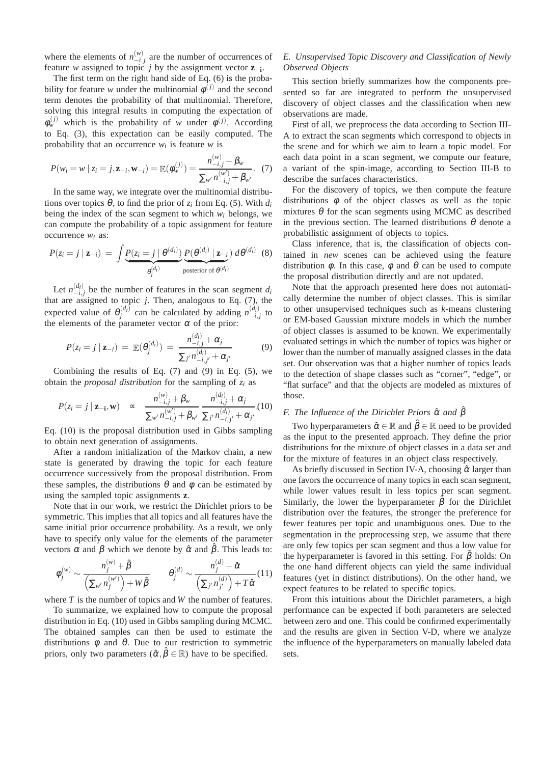where the elements of  $n_{-i}^{(w)}$  $\begin{bmatrix} w_j \\ -i, j \end{bmatrix}$  are the number of occurrences of feature *w* assigned to topic *j* by the assignment vector **z**−**<sup>i</sup>** .

The first term on the right hand side of Eq. (6) is the probability for feature *w* under the multinomial  $\phi^{(j)}$  and the second term denotes the probability of that multinomial. Therefore, solving this integral results in computing the expectation of  $\phi_w^{(j)}$  which is the probability of *w* under  $\phi^{(j)}$ . According to Eq. (3), this expectation can be easily computed. The probability that an occurrence  $w_i$  is feature  $w$  is

$$
P(w_i = w \mid z_i = j, \mathbf{z}_{-i}, \mathbf{w}_{-i}) = \mathbb{E}(\phi_w^{(j)}) = \frac{n_{-i,j}^{(w)} + \beta_w}{\sum_{w'} n_{-i,j}^{(w')} + \beta_{w'}}.
$$
 (7)

In the same way, we integrate over the multinomial distributions over topics  $\theta$ , to find the prior of  $z_i$  from Eq. (5). With  $d_i$ being the index of the scan segment to which  $w_i$  belongs, we can compute the probability of a topic assignment for feature occurrence *w<sup>i</sup>* as:

$$
P(z_i = j | \mathbf{z}_{-i}) = \int \underbrace{P(z_i = j | \theta^{(d_i)})}_{\theta_j^{(d_i)}} \underbrace{P(\theta^{(d_i)} | \mathbf{z}_{-i})}_{\text{posterior of } \theta^{(d_i)}} d\theta^{(d_i)} \tag{8}
$$

Let  $n_{-i,j}^{(d_i)}$  be the number of features in the scan segment  $d_i$ that are assigned to topic *j*. Then, analogous to Eq. (7), the expected value of  $\theta_j^{(d_i)}$  can be calculated by adding  $n_{-i,j}^{(d_i)}$  to the elements of the parameter vector  $\alpha$  of the prior:

$$
P(z_i = j | \mathbf{z}_{-i}) = \mathbb{E}(\theta_j^{(d_i)}) = \frac{n_{-i,j}^{(d_i)} + \alpha_j}{\sum_{j'} n_{-i,j'}^{(d_i)} + \alpha_{j'}}
$$
(9)

Combining the results of Eq.  $(7)$  and  $(9)$  in Eq.  $(5)$ , we obtain the *proposal distribution* for the sampling of  $z_i$  as

$$
P(z_i = j \mid \mathbf{z}_{-i}, \mathbf{w}) \quad \propto \quad \frac{n_{-i,j}^{(w)} + \beta_w}{\sum_{w'} n_{-i,j}^{(w')} + \beta_{w'}} \frac{n_{-i,j}^{(d_i)} + \alpha_j}{\sum_{j'} n_{-i,j'}^{(d_i)} + \alpha_{j'}} (10)
$$

Eq. (10) is the proposal distribution used in Gibbs sampling to obtain next generation of assignments.

After a random initialization of the Markov chain, a new state is generated by drawing the topic for each feature occurrence successively from the proposal distribution. From these samples, the distributions  $\theta$  and  $\phi$  can be estimated by using the sampled topic assignments **z**.

Note that in our work, we restrict the Dirichlet priors to be symmetric. This implies that all topics and all features have the same initial prior occurrence probability. As a result, we only have to specify only value for the elements of the parameter vectors  $\alpha$  and  $\beta$  which we denote by  $\hat{\alpha}$  and  $\hat{\beta}$ . This leads to:

$$
\phi_j^{(w)} \sim \frac{n_j^{(w)} + \hat{\beta}}{\left(\sum_{w'} n_j^{(w')} \right) + W\hat{\beta}} \qquad \theta_j^{(d)} \sim \frac{n_j^{(d)} + \hat{\alpha}}{\left(\sum_{j'} n_{j'}^{(d)} \right) + T\hat{\alpha}} (11)
$$

where *T* is the number of topics and *W* the number of features.

To summarize, we explained how to compute the proposal distribution in Eq. (10) used in Gibbs sampling during MCMC. The obtained samples can then be used to estimate the distributions  $\phi$  and  $\theta$ . Due to our restriction to symmetric priors, only two parameters  $(\hat{\alpha}, \hat{\beta} \in \mathbb{R})$  have to be specified.

## *E. Unsupervised Topic Discovery and Classification of Newly Observed Objects*

This section briefly summarizes how the components presented so far are integrated to perform the unsupervised discovery of object classes and the classification when new observations are made.

First of all, we preprocess the data according to Section III-A to extract the scan segments which correspond to objects in the scene and for which we aim to learn a topic model. For each data point in a scan segment, we compute our feature, a variant of the spin-image, according to Section III-B to describe the surfaces characteristics.

For the discovery of topics, we then compute the feature distributions  $\phi$  of the object classes as well as the topic mixtures  $\theta$  for the scan segments using MCMC as described in the previous section. The learned distributions  $\theta$  denote a probabilistic assignment of objects to topics.

Class inference, that is, the classification of objects contained in *new* scenes can be achieved using the feature distribution  $\phi$ . In this case,  $\phi$  and  $\theta$  can be used to compute the proposal distribution directly and are not updated.

Note that the approach presented here does not automatically determine the number of object classes. This is similar to other unsupervised techniques such as *k*-means clustering or EM-based Gaussian mixture models in which the number of object classes is assumed to be known. We experimentally evaluated settings in which the number of topics was higher or lower than the number of manually assigned classes in the data set. Our observation was that a higher number of topics leads to the detection of shape classes such as "corner", "edge", or "flat surface" and that the objects are modeled as mixtures of those.

# *F. The Influence of the Dirichlet Priors*  $\hat{\alpha}$  *and*  $\hat{\beta}$

Two hyperparameters  $\hat{\alpha} \in \mathbb{R}$  and  $\hat{\beta} \in \mathbb{R}$  need to be provided as the input to the presented approach. They define the prior distributions for the mixture of object classes in a data set and for the mixture of features in an object class respectively.

As briefly discussed in Section IV-A, choosing  $\hat{\alpha}$  larger than one favors the occurrence of many topics in each scan segment, while lower values result in less topics per scan segment. Similarly, the lower the hyperparameter  $\hat{\beta}$  for the Dirichlet distribution over the features, the stronger the preference for fewer features per topic and unambiguous ones. Due to the segmentation in the preprocessing step, we assume that there are only few topics per scan segment and thus a low value for the hyperparameter is favored in this setting. For  $\hat{\beta}$  holds: On the one hand different objects can yield the same individual features (yet in distinct distributions). On the other hand, we expect features to be related to specific topics.

From this intuitions about the Dirichlet parameters, a high performance can be expected if both parameters are selected between zero and one. This could be confirmed experimentally and the results are given in Section V-D, where we analyze the influence of the hyperparameters on manually labeled data sets.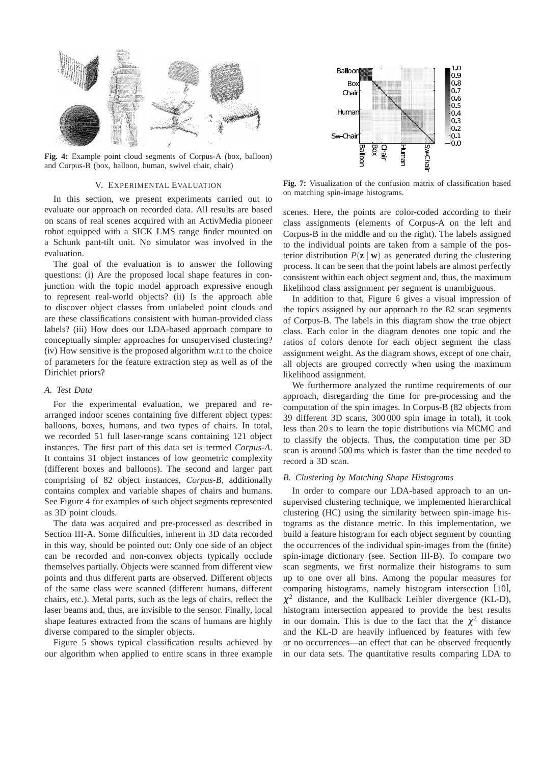

**Fig. 4:** Example point cloud segments of Corpus-A (box, balloon) and Corpus-B (box, balloon, human, swivel chair, chair)

#### V. EXPERIMENTAL EVALUATION

In this section, we present experiments carried out to evaluate our approach on recorded data. All results are based on scans of real scenes acquired with an ActivMedia pioneer robot equipped with a SICK LMS range finder mounted on a Schunk pant-tilt unit. No simulator was involved in the evaluation.

The goal of the evaluation is to answer the following questions: (i) Are the proposed local shape features in conjunction with the topic model approach expressive enough to represent real-world objects? (ii) Is the approach able to discover object classes from unlabeled point clouds and are these classifications consistent with human-provided class labels? (iii) How does our LDA-based approach compare to conceptually simpler approaches for unsupervised clustering? (iv) How sensitive is the proposed algorithm w.r.t to the choice of parameters for the feature extraction step as well as of the Dirichlet priors?

#### *A. Test Data*

For the experimental evaluation, we prepared and rearranged indoor scenes containing five different object types: balloons, boxes, humans, and two types of chairs. In total, we recorded 51 full laser-range scans containing 121 object instances. The first part of this data set is termed *Corpus-A*. It contains 31 object instances of low geometric complexity (different boxes and balloons). The second and larger part comprising of 82 object instances, *Corpus-B*, additionally contains complex and variable shapes of chairs and humans. See Figure 4 for examples of such object segments represented as 3D point clouds.

The data was acquired and pre-processed as described in Section III-A. Some difficulties, inherent in 3D data recorded in this way, should be pointed out: Only one side of an object can be recorded and non-convex objects typically occlude themselves partially. Objects were scanned from different view points and thus different parts are observed. Different objects of the same class were scanned (different humans, different chairs, etc.). Metal parts, such as the legs of chairs, reflect the laser beams and, thus, are invisible to the sensor. Finally, local shape features extracted from the scans of humans are highly diverse compared to the simpler objects.

Figure 5 shows typical classification results achieved by our algorithm when applied to entire scans in three example



**Fig. 7:** Visualization of the confusion matrix of classification based on matching spin-image histograms.

scenes. Here, the points are color-coded according to their class assignments (elements of Corpus-A on the left and Corpus-B in the middle and on the right). The labels assigned to the individual points are taken from a sample of the posterior distribution  $P(z | w)$  as generated during the clustering process. It can be seen that the point labels are almost perfectly consistent within each object segment and, thus, the maximum likelihood class assignment per segment is unambiguous.

In addition to that, Figure 6 gives a visual impression of the topics assigned by our approach to the 82 scan segments of Corpus-B. The labels in this diagram show the true object class. Each color in the diagram denotes one topic and the ratios of colors denote for each object segment the class assignment weight. As the diagram shows, except of one chair, all objects are grouped correctly when using the maximum likelihood assignment.

We furthermore analyzed the runtime requirements of our approach, disregarding the time for pre-processing and the computation of the spin images. In Corpus-B (82 objects from 39 different 3D scans, 300 000 spin image in total), it took less than 20 s to learn the topic distributions via MCMC and to classify the objects. Thus, the computation time per 3D scan is around 500 ms which is faster than the time needed to record a 3D scan.

#### *B. Clustering by Matching Shape Histograms*

In order to compare our LDA-based approach to an unsupervised clustering technique, we implemented hierarchical clustering (HC) using the similarity between spin-image histograms as the distance metric. In this implementation, we build a feature histogram for each object segment by counting the occurrences of the individual spin-images from the (finite) spin-image dictionary (see. Section III-B). To compare two scan segments, we first normalize their histograms to sum up to one over all bins. Among the popular measures for comparing histograms, namely histogram intersection [10],  $\chi^2$  distance, and the Kullback Leibler divergence (KL-D), histogram intersection appeared to provide the best results in our domain. This is due to the fact that the  $\chi^2$  distance and the KL-D are heavily influenced by features with few or no occurrences—an effect that can be observed frequently in our data sets. The quantitative results comparing LDA to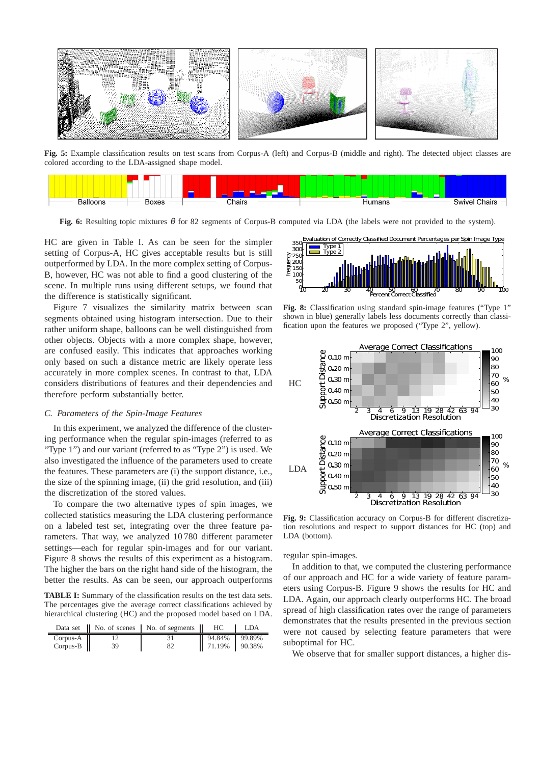

**Fig. 5:** Example classification results on test scans from Corpus-A (left) and Corpus-B (middle and right). The detected object classes are colored according to the LDA-assigned shape model.



**Fig. 6:** Resulting topic mixtures θ for 82 segments of Corpus-B computed via LDA (the labels were not provided to the system).

HC are given in Table I. As can be seen for the simpler setting of Corpus-A, HC gives acceptable results but is still outperformed by LDA. In the more complex setting of Corpus-B, however, HC was not able to find a good clustering of the scene. In multiple runs using different setups, we found that the difference is statistically significant.

Figure 7 visualizes the similarity matrix between scan segments obtained using histogram intersection. Due to their rather uniform shape, balloons can be well distinguished from other objects. Objects with a more complex shape, however, are confused easily. This indicates that approaches working only based on such a distance metric are likely operate less accurately in more complex scenes. In contrast to that, LDA considers distributions of features and their dependencies and therefore perform substantially better.

#### *C. Parameters of the Spin-Image Features*

In this experiment, we analyzed the difference of the clustering performance when the regular spin-images (referred to as "Type 1") and our variant (referred to as "Type 2") is used. We also investigated the influence of the parameters used to create the features. These parameters are (i) the support distance, i.e., the size of the spinning image, (ii) the grid resolution, and (iii) the discretization of the stored values.

To compare the two alternative types of spin images, we collected statistics measuring the LDA clustering performance on a labeled test set, integrating over the three feature parameters. That way, we analyzed 10 780 different parameter settings—each for regular spin-images and for our variant. Figure 8 shows the results of this experiment as a histogram. The higher the bars on the right hand side of the histogram, the better the results. As can be seen, our approach outperforms

**TABLE I:** Summary of the classification results on the test data sets. The percentages give the average correct classifications achieved by hierarchical clustering (HC) and the proposed model based on LDA.

|            |    | Data set    No. of scenes   No. of segments | НC            | .DA |
|------------|----|---------------------------------------------|---------------|-----|
| $Corpus-A$ |    |                                             | 94.84% 99.89% |     |
| $Corpus-B$ | 39 |                                             | 71.19% 90.38% |     |



**Fig. 8:** Classification using standard spin-image features ("Type 1" shown in blue) generally labels less documents correctly than classification upon the features we proposed ("Type 2", yellow).



**Fig. 9:** Classification accuracy on Corpus-B for different discretization resolutions and respect to support distances for HC (top) and LDA (bottom).

regular spin-images.

In addition to that, we computed the clustering performance of our approach and HC for a wide variety of feature parameters using Corpus-B. Figure 9 shows the results for HC and LDA. Again, our approach clearly outperforms HC. The broad spread of high classification rates over the range of parameters demonstrates that the results presented in the previous section were not caused by selecting feature parameters that were suboptimal for HC.

We observe that for smaller support distances, a higher dis-